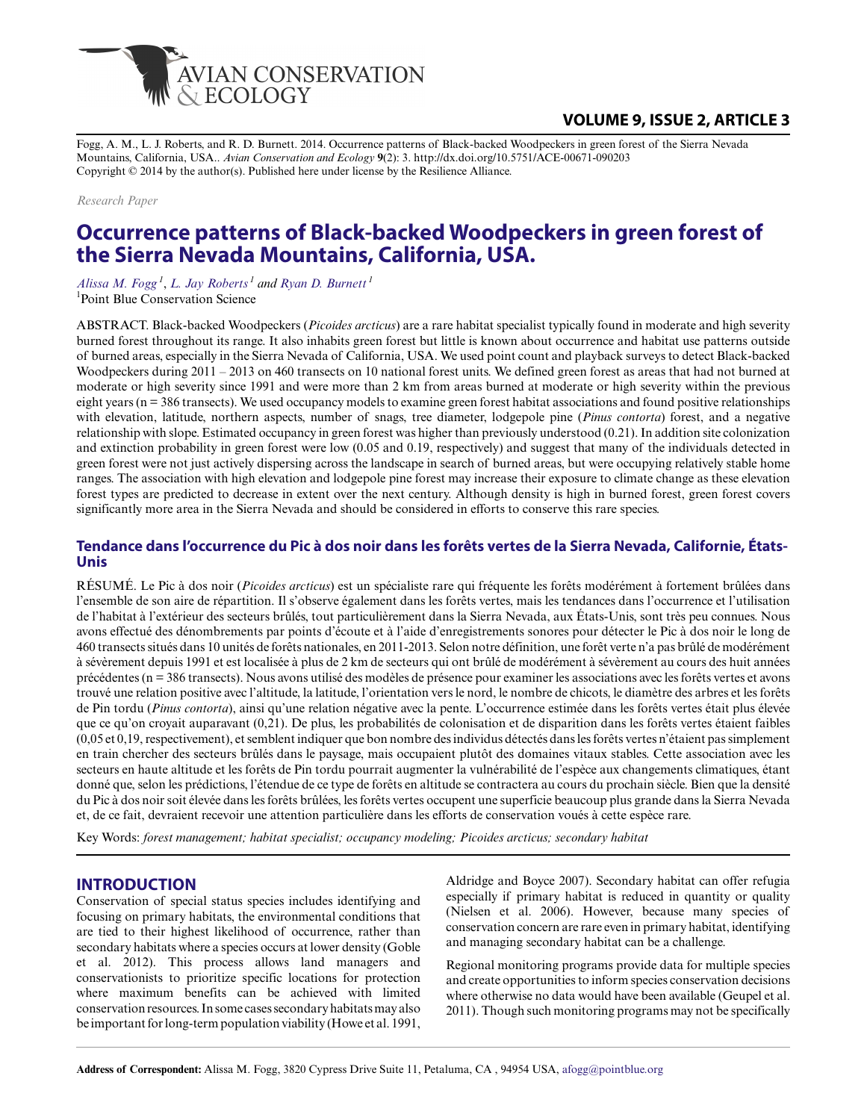

## **VOLUME 9, ISSUE 2, ARTICLE 3**

Fogg, A. M., L. J. Roberts, and R. D. Burnett. 2014. Occurrence patterns of Black-backed Woodpeckers in green forest of the Sierra Nevada Mountains, California, USA.. *Avian Conservation and Ecology* **9**(2): 3. http://dx.doi.org/10.5751/ACE-00671-090203 Copyright © 2014 by the author(s). Published here under license by the Resilience Alliance.

*Research Paper*

# **Occurrence patterns of Black-backed Woodpeckers in green forest of the Sierra Nevada Mountains, California, USA.**

*[Alissa M. Fogg](mailto:afogg@pointblue.org)<sup>1</sup>* , *[L. Jay Roberts](mailto:ljroberts@pointblue.org)<sup>1</sup> and [Ryan D. Burnett](mailto:rburnett@pointblue.org)<sup>1</sup>* <sup>1</sup>Point Blue Conservation Science

ABSTRACT. Black-backed Woodpeckers (*Picoides arcticus*) are a rare habitat specialist typically found in moderate and high severity burned forest throughout its range. It also inhabits green forest but little is known about occurrence and habitat use patterns outside of burned areas, especially in the Sierra Nevada of California, USA. We used point count and playback surveys to detect Black-backed Woodpeckers during 2011 – 2013 on 460 transects on 10 national forest units. We defined green forest as areas that had not burned at moderate or high severity since 1991 and were more than 2 km from areas burned at moderate or high severity within the previous eight years (n = 386 transects). We used occupancy models to examine green forest habitat associations and found positive relationships with elevation, latitude, northern aspects, number of snags, tree diameter, lodgepole pine (*Pinus contorta*) forest, and a negative relationship with slope. Estimated occupancy in green forest was higher than previously understood (0.21). In addition site colonization and extinction probability in green forest were low (0.05 and 0.19, respectively) and suggest that many of the individuals detected in green forest were not just actively dispersing across the landscape in search of burned areas, but were occupying relatively stable home ranges. The association with high elevation and lodgepole pine forest may increase their exposure to climate change as these elevation forest types are predicted to decrease in extent over the next century. Although density is high in burned forest, green forest covers significantly more area in the Sierra Nevada and should be considered in efforts to conserve this rare species.

## **Tendance dans l'occurrence du Pic à dos noir dans les forêts vertes de la Sierra Nevada, Californie, États-Unis**

RÉSUMÉ. Le Pic à dos noir (*Picoides arcticus*) est un spécialiste rare qui fréquente les forêts modérément à fortement brûlées dans l'ensemble de son aire de répartition. Il s'observe également dans les forêts vertes, mais les tendances dans l'occurrence et l'utilisation de l'habitat à l'extérieur des secteurs brûlés, tout particulièrement dans la Sierra Nevada, aux États-Unis, sont très peu connues. Nous avons effectué des dénombrements par points d'écoute et à l'aide d'enregistrements sonores pour détecter le Pic à dos noir le long de 460 transects situés dans 10 unités de forêts nationales, en 2011-2013. Selon notre définition, une forêt verte n'a pas brûlé de modérément à sévèrement depuis 1991 et est localisée à plus de 2 km de secteurs qui ont brûlé de modérément à sévèrement au cours des huit années précédentes (n = 386 transects). Nous avons utilisé des modèles de présence pour examiner les associations avec les forêts vertes et avons trouvé une relation positive avec l'altitude, la latitude, l'orientation vers le nord, le nombre de chicots, le diamètre des arbres et les forêts de Pin tordu (*Pinus contorta*), ainsi qu'une relation négative avec la pente. L'occurrence estimée dans les forêts vertes était plus élevée que ce qu'on croyait auparavant (0,21). De plus, les probabilités de colonisation et de disparition dans les forêts vertes étaient faibles (0,05 et 0,19, respectivement), et semblent indiquer que bon nombre des individus détectés dans les forêts vertes n'étaient pas simplement en train chercher des secteurs brûlés dans le paysage, mais occupaient plutôt des domaines vitaux stables. Cette association avec les secteurs en haute altitude et les forêts de Pin tordu pourrait augmenter la vulnérabilité de l'espèce aux changements climatiques, étant donné que, selon les prédictions, l'étendue de ce type de forêts en altitude se contractera au cours du prochain siècle. Bien que la densité du Pic à dos noir soit élevée dans les forêts brûlées, les forêts vertes occupent une superficie beaucoup plus grande dans la Sierra Nevada et, de ce fait, devraient recevoir une attention particulière dans les efforts de conservation voués à cette espèce rare.

Key Words: *forest management; habitat specialist; occupancy modeling; Picoides arcticus; secondary habitat*

#### **INTRODUCTION**

Conservation of special status species includes identifying and focusing on primary habitats, the environmental conditions that are tied to their highest likelihood of occurrence, rather than secondary habitats where a species occurs at lower density (Goble et al. 2012). This process allows land managers and conservationists to prioritize specific locations for protection where maximum benefits can be achieved with limited conservation resources. In some cases secondary habitats may also be important for long-term population viability (Howe et al. 1991,

Aldridge and Boyce 2007). Secondary habitat can offer refugia especially if primary habitat is reduced in quantity or quality (Nielsen et al. 2006). However, because many species of conservation concern are rare even in primary habitat, identifying and managing secondary habitat can be a challenge.

Regional monitoring programs provide data for multiple species and create opportunities to inform species conservation decisions where otherwise no data would have been available (Geupel et al. 2011). Though such monitoring programs may not be specifically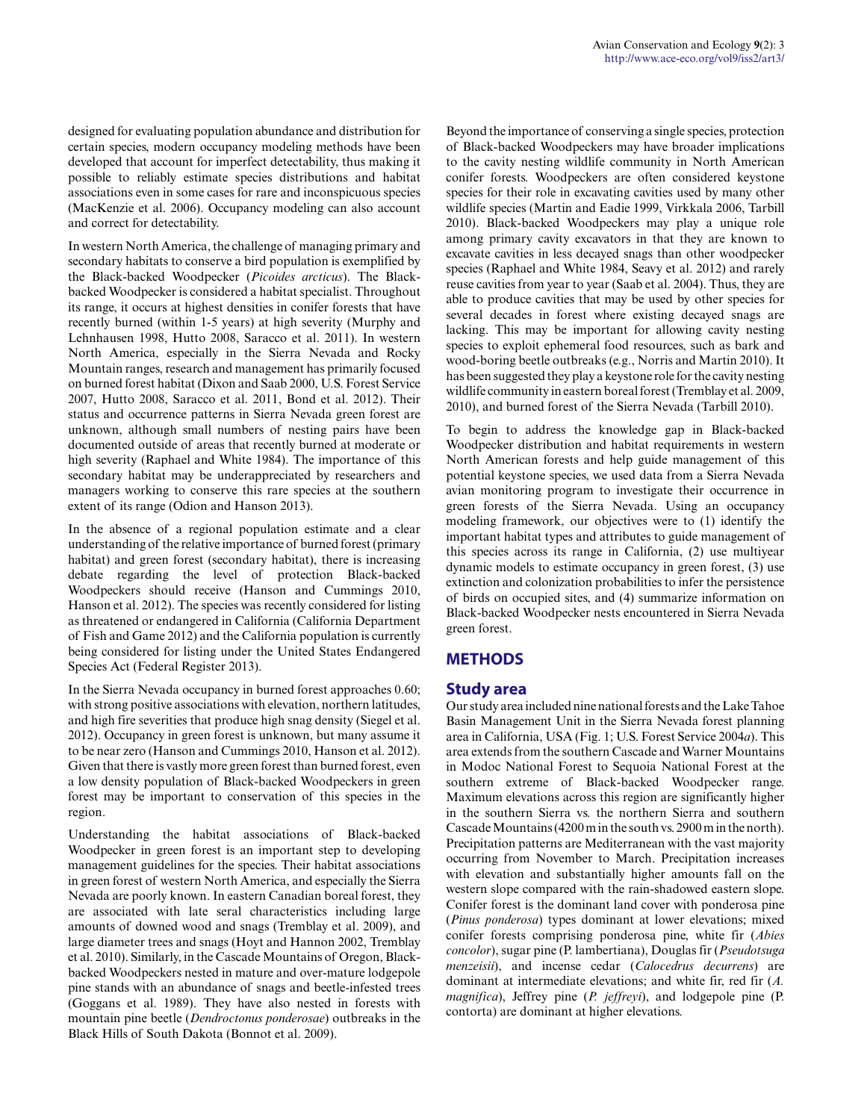designed for evaluating population abundance and distribution for certain species, modern occupancy modeling methods have been developed that account for imperfect detectability, thus making it possible to reliably estimate species distributions and habitat associations even in some cases for rare and inconspicuous species (MacKenzie et al. 2006). Occupancy modeling can also account and correct for detectability.

In western North America, the challenge of managing primary and secondary habitats to conserve a bird population is exemplified by the Black-backed Woodpecker (*Picoides arcticus*). The Blackbacked Woodpecker is considered a habitat specialist. Throughout its range, it occurs at highest densities in conifer forests that have recently burned (within 1-5 years) at high severity (Murphy and Lehnhausen 1998, Hutto 2008, Saracco et al. 2011). In western North America, especially in the Sierra Nevada and Rocky Mountain ranges, research and management has primarily focused on burned forest habitat (Dixon and Saab 2000, U.S. Forest Service 2007, Hutto 2008, Saracco et al. 2011, Bond et al. 2012). Their status and occurrence patterns in Sierra Nevada green forest are unknown, although small numbers of nesting pairs have been documented outside of areas that recently burned at moderate or high severity (Raphael and White 1984). The importance of this secondary habitat may be underappreciated by researchers and managers working to conserve this rare species at the southern extent of its range (Odion and Hanson 2013).

In the absence of a regional population estimate and a clear understanding of the relative importance of burned forest (primary habitat) and green forest (secondary habitat), there is increasing debate regarding the level of protection Black-backed Woodpeckers should receive (Hanson and Cummings 2010, Hanson et al. 2012). The species was recently considered for listing as threatened or endangered in California (California Department of Fish and Game 2012) and the California population is currently being considered for listing under the United States Endangered Species Act (Federal Register 2013).

In the Sierra Nevada occupancy in burned forest approaches 0.60; with strong positive associations with elevation, northern latitudes, and high fire severities that produce high snag density (Siegel et al. 2012). Occupancy in green forest is unknown, but many assume it to be near zero (Hanson and Cummings 2010, Hanson et al. 2012). Given that there is vastly more green forest than burned forest, even a low density population of Black-backed Woodpeckers in green forest may be important to conservation of this species in the region.

Understanding the habitat associations of Black-backed Woodpecker in green forest is an important step to developing management guidelines for the species. Their habitat associations in green forest of western North America, and especially the Sierra Nevada are poorly known. In eastern Canadian boreal forest, they are associated with late seral characteristics including large amounts of downed wood and snags (Tremblay et al. 2009), and large diameter trees and snags (Hoyt and Hannon 2002, Tremblay et al. 2010). Similarly, in the Cascade Mountains of Oregon, Blackbacked Woodpeckers nested in mature and over-mature lodgepole pine stands with an abundance of snags and beetle-infested trees (Goggans et al. 1989). They have also nested in forests with mountain pine beetle (*Dendroctonus ponderosae*) outbreaks in the Black Hills of South Dakota (Bonnot et al. 2009).

Beyond the importance of conserving a single species, protection of Black-backed Woodpeckers may have broader implications to the cavity nesting wildlife community in North American conifer forests. Woodpeckers are often considered keystone species for their role in excavating cavities used by many other wildlife species (Martin and Eadie 1999, Virkkala 2006, Tarbill 2010). Black-backed Woodpeckers may play a unique role among primary cavity excavators in that they are known to excavate cavities in less decayed snags than other woodpecker species (Raphael and White 1984, Seavy et al. 2012) and rarely reuse cavities from year to year (Saab et al. 2004). Thus, they are able to produce cavities that may be used by other species for several decades in forest where existing decayed snags are lacking. This may be important for allowing cavity nesting species to exploit ephemeral food resources, such as bark and wood-boring beetle outbreaks (e.g., Norris and Martin 2010). It has been suggested they play a keystone role for the cavity nesting wildlife community in eastern boreal forest (Tremblay et al. 2009, 2010), and burned forest of the Sierra Nevada (Tarbill 2010).

To begin to address the knowledge gap in Black-backed Woodpecker distribution and habitat requirements in western North American forests and help guide management of this potential keystone species, we used data from a Sierra Nevada avian monitoring program to investigate their occurrence in green forests of the Sierra Nevada. Using an occupancy modeling framework, our objectives were to (1) identify the important habitat types and attributes to guide management of this species across its range in California, (2) use multiyear dynamic models to estimate occupancy in green forest, (3) use extinction and colonization probabilities to infer the persistence of birds on occupied sites, and (4) summarize information on Black-backed Woodpecker nests encountered in Sierra Nevada green forest.

## **METHODS**

#### **Study area**

Our study area included nine national forests and the Lake Tahoe Basin Management Unit in the Sierra Nevada forest planning area in California, USA (Fig. 1; U.S. Forest Service 2004*a*). This area extends from the southern Cascade and Warner Mountains in Modoc National Forest to Sequoia National Forest at the southern extreme of Black-backed Woodpecker range. Maximum elevations across this region are significantly higher in the southern Sierra vs. the northern Sierra and southern Cascade Mountains (4200 m in the south vs. 2900 m in the north). Precipitation patterns are Mediterranean with the vast majority occurring from November to March. Precipitation increases with elevation and substantially higher amounts fall on the western slope compared with the rain-shadowed eastern slope. Conifer forest is the dominant land cover with ponderosa pine (*Pinus ponderosa*) types dominant at lower elevations; mixed conifer forests comprising ponderosa pine, white fir (*Abies concolor*), sugar pine (P. lambertiana), Douglas fir (*Pseudotsuga menzeisii*), and incense cedar (*Calocedrus decurrens*) are dominant at intermediate elevations; and white fir, red fir (*A. magnifica*), Jeffrey pine (*P. jeffreyi*), and lodgepole pine (P. contorta) are dominant at higher elevations.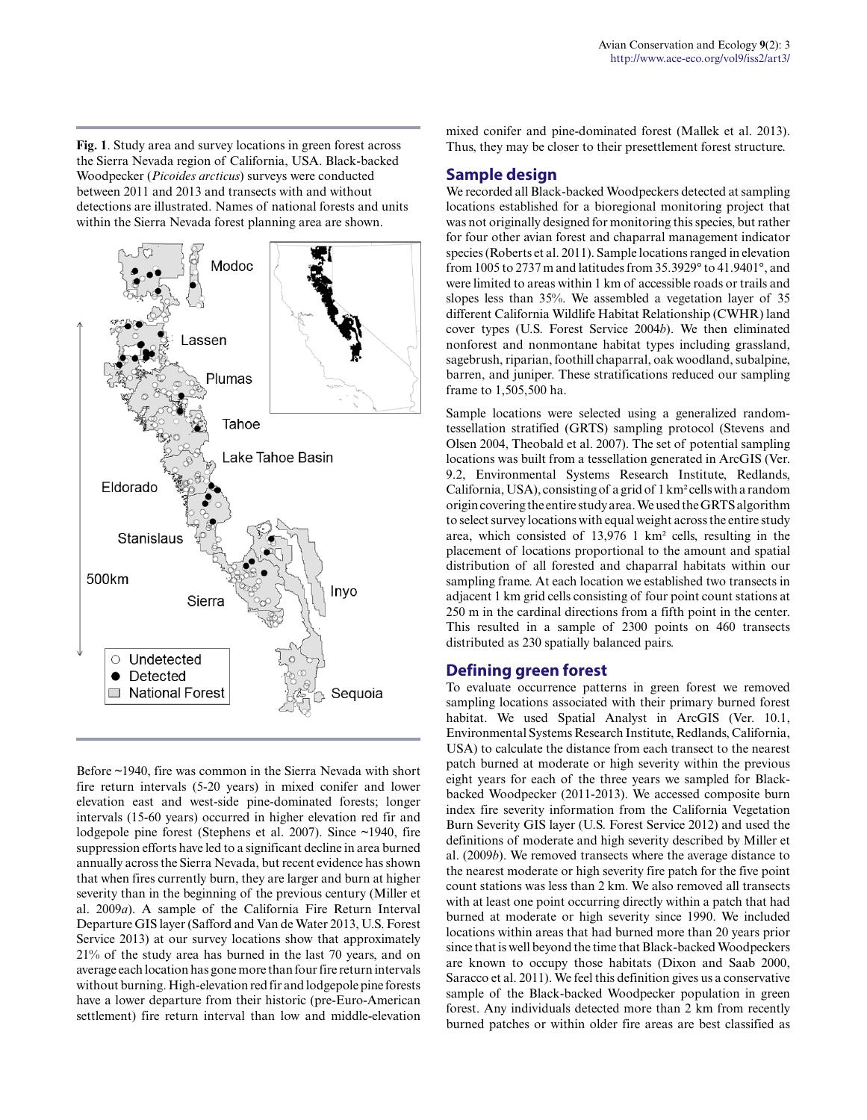**Fig. 1**. Study area and survey locations in green forest across the Sierra Nevada region of California, USA. Black-backed Woodpecker (*Picoides arcticus*) surveys were conducted between 2011 and 2013 and transects with and without detections are illustrated. Names of national forests and units within the Sierra Nevada forest planning area are shown.



Before ~1940, fire was common in the Sierra Nevada with short fire return intervals (5-20 years) in mixed conifer and lower elevation east and west-side pine-dominated forests; longer intervals (15-60 years) occurred in higher elevation red fir and lodgepole pine forest (Stephens et al. 2007). Since ~1940, fire suppression efforts have led to a significant decline in area burned annually across the Sierra Nevada, but recent evidence has shown that when fires currently burn, they are larger and burn at higher severity than in the beginning of the previous century (Miller et al. 2009*a*). A sample of the California Fire Return Interval Departure GIS layer (Safford and Van de Water 2013, U.S. Forest Service 2013) at our survey locations show that approximately 21% of the study area has burned in the last 70 years, and on average each location has gone more than four fire return intervals without burning. High-elevation red fir and lodgepole pine forests have a lower departure from their historic (pre-Euro-American settlement) fire return interval than low and middle-elevation mixed conifer and pine-dominated forest (Mallek et al. 2013). Thus, they may be closer to their presettlement forest structure.

## **Sample design**

We recorded all Black-backed Woodpeckers detected at sampling locations established for a bioregional monitoring project that was not originally designed for monitoring this species, but rather for four other avian forest and chaparral management indicator species (Roberts et al. 2011). Sample locations ranged in elevation from 1005 to 2737 m and latitudes from 35.3929° to 41.9401°, and were limited to areas within 1 km of accessible roads or trails and slopes less than 35%. We assembled a vegetation layer of 35 different California Wildlife Habitat Relationship (CWHR) land cover types (U.S. Forest Service 2004*b*). We then eliminated nonforest and nonmontane habitat types including grassland, sagebrush, riparian, foothill chaparral, oak woodland, subalpine, barren, and juniper. These stratifications reduced our sampling frame to 1,505,500 ha.

Sample locations were selected using a generalized randomtessellation stratified (GRTS) sampling protocol (Stevens and Olsen 2004, Theobald et al. 2007). The set of potential sampling locations was built from a tessellation generated in ArcGIS (Ver. 9.2, Environmental Systems Research Institute, Redlands, California, USA), consisting of a grid of 1 km² cells with a random origin covering the entire study area. We used the GRTS algorithm to select survey locations with equal weight across the entire study area, which consisted of 13,976 1 km² cells, resulting in the placement of locations proportional to the amount and spatial distribution of all forested and chaparral habitats within our sampling frame. At each location we established two transects in adjacent 1 km grid cells consisting of four point count stations at 250 m in the cardinal directions from a fifth point in the center. This resulted in a sample of 2300 points on 460 transects distributed as 230 spatially balanced pairs.

#### **Defining green forest**

To evaluate occurrence patterns in green forest we removed sampling locations associated with their primary burned forest habitat. We used Spatial Analyst in ArcGIS (Ver. 10.1, Environmental Systems Research Institute, Redlands, California, USA) to calculate the distance from each transect to the nearest patch burned at moderate or high severity within the previous eight years for each of the three years we sampled for Blackbacked Woodpecker (2011-2013). We accessed composite burn index fire severity information from the California Vegetation Burn Severity GIS layer (U.S. Forest Service 2012) and used the definitions of moderate and high severity described by Miller et al. (2009*b*). We removed transects where the average distance to the nearest moderate or high severity fire patch for the five point count stations was less than 2 km. We also removed all transects with at least one point occurring directly within a patch that had burned at moderate or high severity since 1990. We included locations within areas that had burned more than 20 years prior since that is well beyond the time that Black-backed Woodpeckers are known to occupy those habitats (Dixon and Saab 2000, Saracco et al. 2011). We feel this definition gives us a conservative sample of the Black-backed Woodpecker population in green forest. Any individuals detected more than 2 km from recently burned patches or within older fire areas are best classified as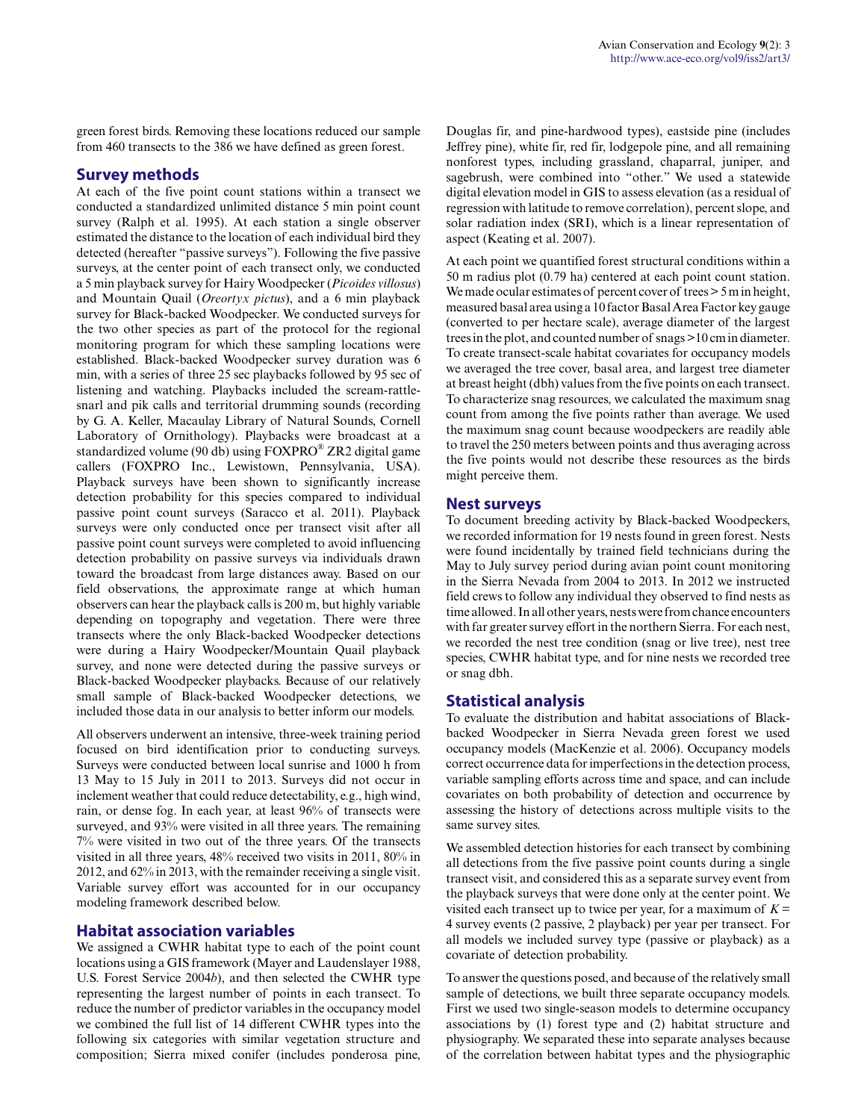green forest birds. Removing these locations reduced our sample from 460 transects to the 386 we have defined as green forest.

## **Survey methods**

At each of the five point count stations within a transect we conducted a standardized unlimited distance 5 min point count survey (Ralph et al. 1995). At each station a single observer estimated the distance to the location of each individual bird they detected (hereafter "passive surveys"). Following the five passive surveys, at the center point of each transect only, we conducted a 5 min playback survey for Hairy Woodpecker (*Picoides villosus*) and Mountain Quail (*Oreortyx pictus*), and a 6 min playback survey for Black-backed Woodpecker. We conducted surveys for the two other species as part of the protocol for the regional monitoring program for which these sampling locations were established. Black-backed Woodpecker survey duration was 6 min, with a series of three 25 sec playbacks followed by 95 sec of listening and watching. Playbacks included the scream-rattlesnarl and pik calls and territorial drumming sounds (recording by G. A. Keller, Macaulay Library of Natural Sounds, Cornell Laboratory of Ornithology). Playbacks were broadcast at a standardized volume (90 db) using FOXPRO® ZR2 digital game callers (FOXPRO Inc., Lewistown, Pennsylvania, USA). Playback surveys have been shown to significantly increase detection probability for this species compared to individual passive point count surveys (Saracco et al. 2011). Playback surveys were only conducted once per transect visit after all passive point count surveys were completed to avoid influencing detection probability on passive surveys via individuals drawn toward the broadcast from large distances away. Based on our field observations, the approximate range at which human observers can hear the playback calls is 200 m, but highly variable depending on topography and vegetation. There were three transects where the only Black-backed Woodpecker detections were during a Hairy Woodpecker/Mountain Quail playback survey, and none were detected during the passive surveys or Black-backed Woodpecker playbacks. Because of our relatively small sample of Black-backed Woodpecker detections, we included those data in our analysis to better inform our models.

All observers underwent an intensive, three-week training period focused on bird identification prior to conducting surveys. Surveys were conducted between local sunrise and 1000 h from 13 May to 15 July in 2011 to 2013. Surveys did not occur in inclement weather that could reduce detectability, e.g., high wind, rain, or dense fog. In each year, at least 96% of transects were surveyed, and 93% were visited in all three years. The remaining 7% were visited in two out of the three years. Of the transects visited in all three years, 48% received two visits in 2011, 80% in 2012, and 62% in 2013, with the remainder receiving a single visit. Variable survey effort was accounted for in our occupancy modeling framework described below.

#### **Habitat association variables**

We assigned a CWHR habitat type to each of the point count locations using a GIS framework (Mayer and Laudenslayer 1988, U.S. Forest Service 2004*b*), and then selected the CWHR type representing the largest number of points in each transect. To reduce the number of predictor variables in the occupancy model we combined the full list of 14 different CWHR types into the following six categories with similar vegetation structure and composition; Sierra mixed conifer (includes ponderosa pine,

Douglas fir, and pine-hardwood types), eastside pine (includes Jeffrey pine), white fir, red fir, lodgepole pine, and all remaining nonforest types, including grassland, chaparral, juniper, and sagebrush, were combined into "other." We used a statewide digital elevation model in GIS to assess elevation (as a residual of regression with latitude to remove correlation), percent slope, and solar radiation index (SRI), which is a linear representation of aspect (Keating et al. 2007).

At each point we quantified forest structural conditions within a 50 m radius plot (0.79 ha) centered at each point count station. We made ocular estimates of percent cover of trees  $> 5$  m in height, measured basal area using a 10 factor Basal Area Factor key gauge (converted to per hectare scale), average diameter of the largest trees in the plot, and counted number of snags >10 cm in diameter. To create transect-scale habitat covariates for occupancy models we averaged the tree cover, basal area, and largest tree diameter at breast height (dbh) values from the five points on each transect. To characterize snag resources, we calculated the maximum snag count from among the five points rather than average. We used the maximum snag count because woodpeckers are readily able to travel the 250 meters between points and thus averaging across the five points would not describe these resources as the birds might perceive them.

#### **Nest surveys**

To document breeding activity by Black-backed Woodpeckers, we recorded information for 19 nests found in green forest. Nests were found incidentally by trained field technicians during the May to July survey period during avian point count monitoring in the Sierra Nevada from 2004 to 2013. In 2012 we instructed field crews to follow any individual they observed to find nests as time allowed. In all other years, nests were from chance encounters with far greater survey effort in the northern Sierra. For each nest, we recorded the nest tree condition (snag or live tree), nest tree species, CWHR habitat type, and for nine nests we recorded tree or snag dbh.

#### **Statistical analysis**

To evaluate the distribution and habitat associations of Blackbacked Woodpecker in Sierra Nevada green forest we used occupancy models (MacKenzie et al. 2006). Occupancy models correct occurrence data for imperfections in the detection process, variable sampling efforts across time and space, and can include covariates on both probability of detection and occurrence by assessing the history of detections across multiple visits to the same survey sites.

We assembled detection histories for each transect by combining all detections from the five passive point counts during a single transect visit, and considered this as a separate survey event from the playback surveys that were done only at the center point. We visited each transect up to twice per year, for a maximum of  $K =$ 4 survey events (2 passive, 2 playback) per year per transect. For all models we included survey type (passive or playback) as a covariate of detection probability.

To answer the questions posed, and because of the relatively small sample of detections, we built three separate occupancy models. First we used two single-season models to determine occupancy associations by (1) forest type and (2) habitat structure and physiography. We separated these into separate analyses because of the correlation between habitat types and the physiographic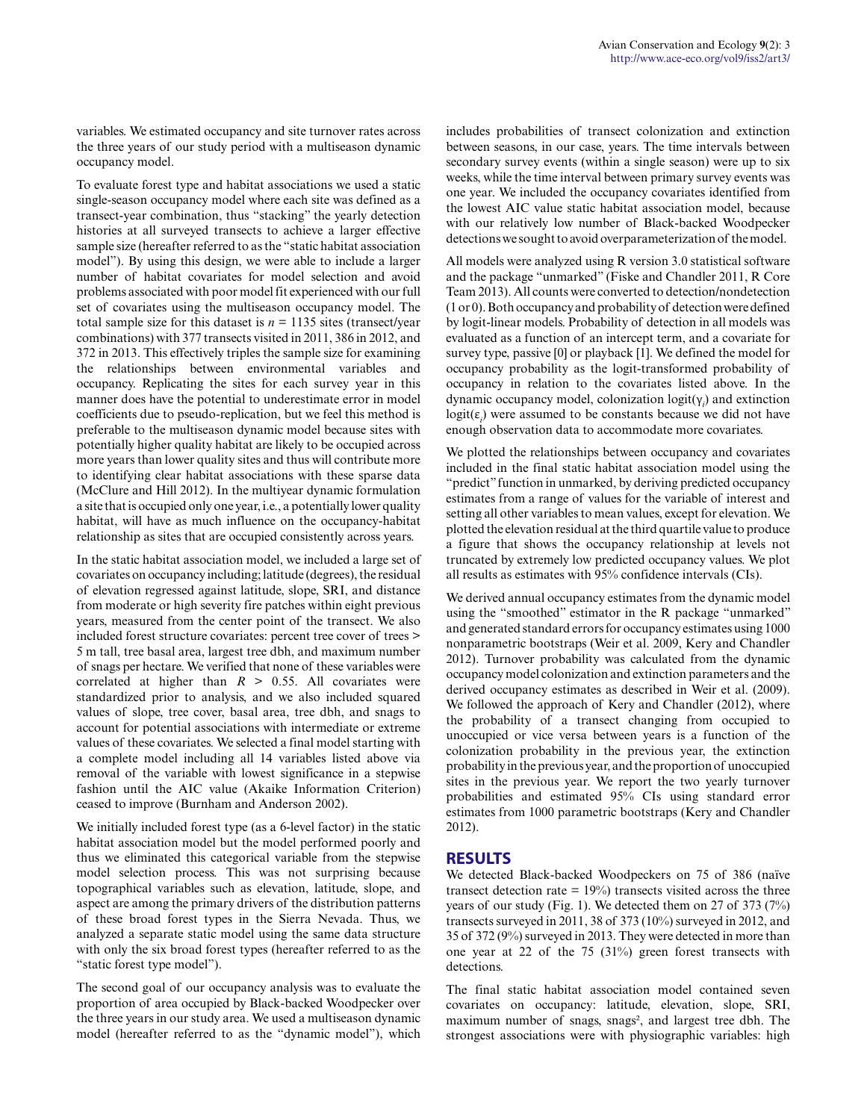variables. We estimated occupancy and site turnover rates across the three years of our study period with a multiseason dynamic occupancy model.

To evaluate forest type and habitat associations we used a static single-season occupancy model where each site was defined as a transect-year combination, thus "stacking" the yearly detection histories at all surveyed transects to achieve a larger effective sample size (hereafter referred to as the "static habitat association model"). By using this design, we were able to include a larger number of habitat covariates for model selection and avoid problems associated with poor model fit experienced with our full set of covariates using the multiseason occupancy model. The total sample size for this dataset is  $n = 1135$  sites (transect/year combinations) with 377 transects visited in 2011, 386 in 2012, and 372 in 2013. This effectively triples the sample size for examining the relationships between environmental variables and occupancy. Replicating the sites for each survey year in this manner does have the potential to underestimate error in model coefficients due to pseudo-replication, but we feel this method is preferable to the multiseason dynamic model because sites with potentially higher quality habitat are likely to be occupied across more years than lower quality sites and thus will contribute more to identifying clear habitat associations with these sparse data (McClure and Hill 2012). In the multiyear dynamic formulation a site that is occupied only one year, i.e., a potentially lower quality habitat, will have as much influence on the occupancy-habitat relationship as sites that are occupied consistently across years.

In the static habitat association model, we included a large set of covariates on occupancy including; latitude (degrees), the residual of elevation regressed against latitude, slope, SRI, and distance from moderate or high severity fire patches within eight previous years, measured from the center point of the transect. We also included forest structure covariates: percent tree cover of trees > 5 m tall, tree basal area, largest tree dbh, and maximum number of snags per hectare. We verified that none of these variables were correlated at higher than  $R > 0.55$ . All covariates were standardized prior to analysis, and we also included squared values of slope, tree cover, basal area, tree dbh, and snags to account for potential associations with intermediate or extreme values of these covariates. We selected a final model starting with a complete model including all 14 variables listed above via removal of the variable with lowest significance in a stepwise fashion until the AIC value (Akaike Information Criterion) ceased to improve (Burnham and Anderson 2002).

We initially included forest type (as a 6-level factor) in the static habitat association model but the model performed poorly and thus we eliminated this categorical variable from the stepwise model selection process. This was not surprising because topographical variables such as elevation, latitude, slope, and aspect are among the primary drivers of the distribution patterns of these broad forest types in the Sierra Nevada. Thus, we analyzed a separate static model using the same data structure with only the six broad forest types (hereafter referred to as the "static forest type model").

The second goal of our occupancy analysis was to evaluate the proportion of area occupied by Black-backed Woodpecker over the three years in our study area. We used a multiseason dynamic model (hereafter referred to as the "dynamic model"), which

includes probabilities of transect colonization and extinction between seasons, in our case, years. The time intervals between secondary survey events (within a single season) were up to six weeks, while the time interval between primary survey events was one year. We included the occupancy covariates identified from the lowest AIC value static habitat association model, because with our relatively low number of Black-backed Woodpecker detections we sought to avoid overparameterization of the model.

All models were analyzed using R version 3.0 statistical software and the package "unmarked" (Fiske and Chandler 2011, R Core Team 2013). All counts were converted to detection/nondetection (1 or 0). Both occupancy and probability of detection were defined by logit-linear models. Probability of detection in all models was evaluated as a function of an intercept term, and a covariate for survey type, passive [0] or playback [1]. We defined the model for occupancy probability as the logit-transformed probability of occupancy in relation to the covariates listed above. In the dynamic occupancy model, colonization logit(γ*<sup>i</sup>* ) and extinction  $logit(\epsilon_i)$  were assumed to be constants because we did not have enough observation data to accommodate more covariates.

We plotted the relationships between occupancy and covariates included in the final static habitat association model using the "predict" function in unmarked, by deriving predicted occupancy estimates from a range of values for the variable of interest and setting all other variables to mean values, except for elevation. We plotted the elevation residual at the third quartile value to produce a figure that shows the occupancy relationship at levels not truncated by extremely low predicted occupancy values. We plot all results as estimates with 95% confidence intervals (CIs).

We derived annual occupancy estimates from the dynamic model using the "smoothed" estimator in the R package "unmarked" and generated standard errors for occupancy estimates using 1000 nonparametric bootstraps (Weir et al. 2009, Kery and Chandler 2012). Turnover probability was calculated from the dynamic occupancy model colonization and extinction parameters and the derived occupancy estimates as described in Weir et al. (2009). We followed the approach of Kery and Chandler (2012), where the probability of a transect changing from occupied to unoccupied or vice versa between years is a function of the colonization probability in the previous year, the extinction probability in the previous year, and the proportion of unoccupied sites in the previous year. We report the two yearly turnover probabilities and estimated 95% CIs using standard error estimates from 1000 parametric bootstraps (Kery and Chandler 2012).

#### **RESULTS**

We detected Black-backed Woodpeckers on 75 of 386 (naïve transect detection rate  $= 19\%$ ) transects visited across the three years of our study (Fig. 1). We detected them on 27 of 373 (7%) transects surveyed in 2011, 38 of 373 (10%) surveyed in 2012, and 35 of 372 (9%) surveyed in 2013. They were detected in more than one year at 22 of the 75 (31%) green forest transects with detections.

The final static habitat association model contained seven covariates on occupancy: latitude, elevation, slope, SRI, maximum number of snags, snags², and largest tree dbh. The strongest associations were with physiographic variables: high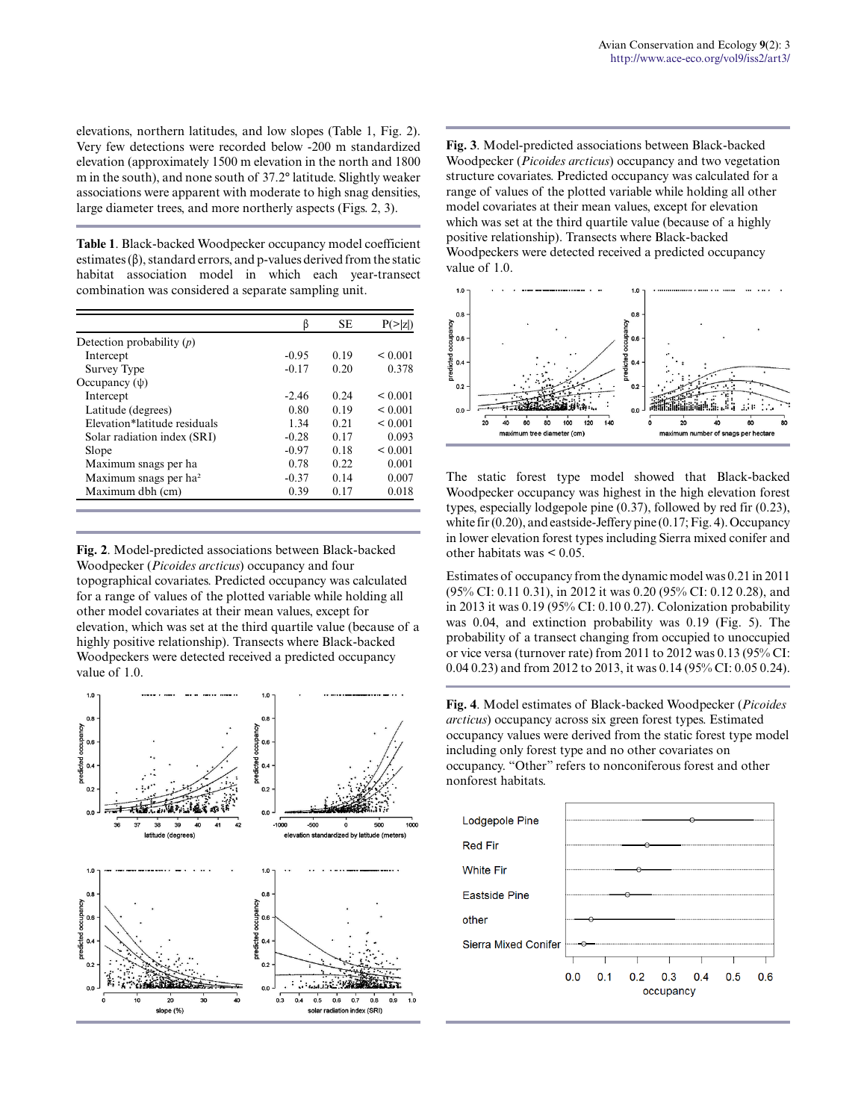elevations, northern latitudes, and low slopes (Table 1, Fig. 2). Very few detections were recorded below -200 m standardized elevation (approximately 1500 m elevation in the north and 1800 m in the south), and none south of 37.2° latitude. Slightly weaker associations were apparent with moderate to high snag densities, large diameter trees, and more northerly aspects (Figs. 2, 3).

**Table 1**. Black-backed Woodpecker occupancy model coefficient estimates  $(\beta)$ , standard errors, and p-values derived from the static habitat association model in which each year-transect combination was considered a separate sampling unit.

|                                   | β       | <b>SE</b> | P(>          |
|-----------------------------------|---------|-----------|--------------|
| Detection probability $(p)$       |         |           |              |
| Intercept                         | $-0.95$ | 0.19      | ${}_{0.001}$ |
| Survey Type                       | $-0.17$ | 0.20      | 0.378        |
| Occupancy $(\psi)$                |         |           |              |
| Intercept                         | $-2.46$ | 0.24      | ${}_{0.001}$ |
| Latitude (degrees)                | 0.80    | 0.19      | ${}_{0.001}$ |
| Elevation*latitude residuals      | 1.34    | 0.21      | ${}_{0.001}$ |
| Solar radiation index (SRI)       | $-0.28$ | 0.17      | 0.093        |
| Slope                             | $-0.97$ | 0.18      | ${}_{0.001}$ |
| Maximum snags per ha              | 0.78    | 0.22      | 0.001        |
| Maximum snags per ha <sup>2</sup> | $-0.37$ | 0.14      | 0.007        |
| Maximum dbh (cm)                  | 0.39    | 0.17      | 0.018        |

**Fig. 2**. Model-predicted associations between Black-backed Woodpecker (*Picoides arcticus*) occupancy and four topographical covariates. Predicted occupancy was calculated for a range of values of the plotted variable while holding all other model covariates at their mean values, except for elevation, which was set at the third quartile value (because of a highly positive relationship). Transects where Black-backed Woodpeckers were detected received a predicted occupancy value of 1.0.



**Fig. 3**. Model-predicted associations between Black-backed Woodpecker (*Picoides arcticus*) occupancy and two vegetation structure covariates. Predicted occupancy was calculated for a range of values of the plotted variable while holding all other model covariates at their mean values, except for elevation which was set at the third quartile value (because of a highly positive relationship). Transects where Black-backed Woodpeckers were detected received a predicted occupancy value of 1.0.



The static forest type model showed that Black-backed Woodpecker occupancy was highest in the high elevation forest types, especially lodgepole pine (0.37), followed by red fir (0.23), white fir (0.20), and eastside-Jeffery pine (0.17; Fig. 4). Occupancy in lower elevation forest types including Sierra mixed conifer and other habitats was < 0.05.

Estimates of occupancy from the dynamic model was 0.21 in 2011 (95% CI: 0.11 0.31), in 2012 it was 0.20 (95% CI: 0.12 0.28), and in 2013 it was 0.19 (95% CI: 0.10 0.27). Colonization probability was 0.04, and extinction probability was 0.19 (Fig. 5). The probability of a transect changing from occupied to unoccupied or vice versa (turnover rate) from 2011 to 2012 was 0.13 (95% CI: 0.04 0.23) and from 2012 to 2013, it was 0.14 (95% CI: 0.05 0.24).

**Fig. 4**. Model estimates of Black-backed Woodpecker (*Picoides arcticus*) occupancy across six green forest types. Estimated occupancy values were derived from the static forest type model including only forest type and no other covariates on occupancy. "Other" refers to nonconiferous forest and other nonforest habitats.

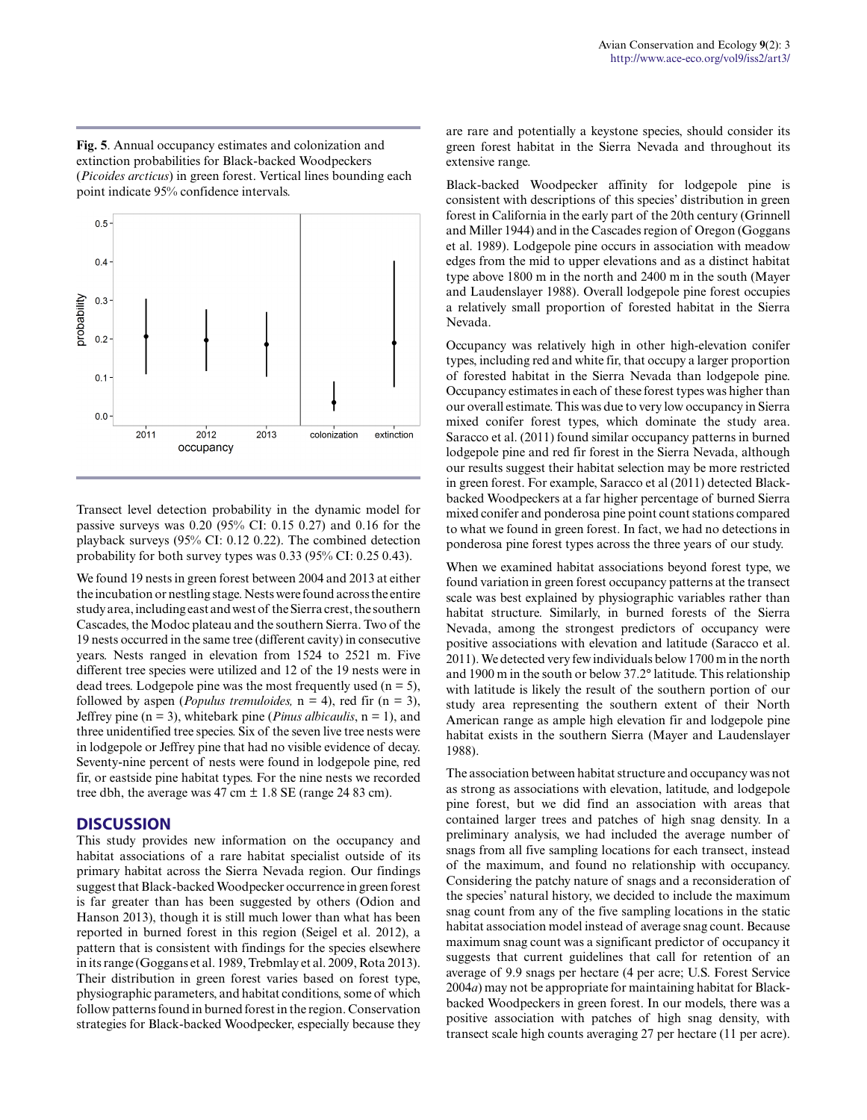**Fig. 5**. Annual occupancy estimates and colonization and extinction probabilities for Black-backed Woodpeckers (*Picoides arcticus*) in green forest. Vertical lines bounding each point indicate 95% confidence intervals.



Transect level detection probability in the dynamic model for passive surveys was 0.20 (95% CI: 0.15 0.27) and 0.16 for the playback surveys (95% CI: 0.12 0.22). The combined detection probability for both survey types was 0.33 (95% CI: 0.25 0.43).

We found 19 nests in green forest between 2004 and 2013 at either the incubation or nestling stage. Nests were found across the entire study area, including east and west of the Sierra crest, the southern Cascades, the Modoc plateau and the southern Sierra. Two of the 19 nests occurred in the same tree (different cavity) in consecutive years. Nests ranged in elevation from 1524 to 2521 m. Five different tree species were utilized and 12 of the 19 nests were in dead trees. Lodgepole pine was the most frequently used  $(n = 5)$ , followed by aspen (*Populus tremuloides*,  $n = 4$ ), red fir ( $n = 3$ ), Jeffrey pine ( $n = 3$ ), whitebark pine (*Pinus albicaulis*,  $n = 1$ ), and three unidentified tree species. Six of the seven live tree nests were in lodgepole or Jeffrey pine that had no visible evidence of decay. Seventy-nine percent of nests were found in lodgepole pine, red fir, or eastside pine habitat types. For the nine nests we recorded tree dbh, the average was 47 cm  $\pm$  1.8 SE (range 24 83 cm).

## **DISCUSSION**

This study provides new information on the occupancy and habitat associations of a rare habitat specialist outside of its primary habitat across the Sierra Nevada region. Our findings suggest that Black-backed Woodpecker occurrence in green forest is far greater than has been suggested by others (Odion and Hanson 2013), though it is still much lower than what has been reported in burned forest in this region (Seigel et al. 2012), a pattern that is consistent with findings for the species elsewhere in its range (Goggans et al. 1989, Trebmlay et al. 2009, Rota 2013). Their distribution in green forest varies based on forest type, physiographic parameters, and habitat conditions, some of which follow patterns found in burned forest in the region. Conservation strategies for Black-backed Woodpecker, especially because they are rare and potentially a keystone species, should consider its green forest habitat in the Sierra Nevada and throughout its extensive range.

Black-backed Woodpecker affinity for lodgepole pine is consistent with descriptions of this species' distribution in green forest in California in the early part of the 20th century (Grinnell and Miller 1944) and in the Cascades region of Oregon (Goggans et al. 1989). Lodgepole pine occurs in association with meadow edges from the mid to upper elevations and as a distinct habitat type above 1800 m in the north and 2400 m in the south (Mayer and Laudenslayer 1988). Overall lodgepole pine forest occupies a relatively small proportion of forested habitat in the Sierra Nevada.

Occupancy was relatively high in other high-elevation conifer types, including red and white fir, that occupy a larger proportion of forested habitat in the Sierra Nevada than lodgepole pine. Occupancy estimates in each of these forest types was higher than our overall estimate. This was due to very low occupancy in Sierra mixed conifer forest types, which dominate the study area. Saracco et al. (2011) found similar occupancy patterns in burned lodgepole pine and red fir forest in the Sierra Nevada, although our results suggest their habitat selection may be more restricted in green forest. For example, Saracco et al (2011) detected Blackbacked Woodpeckers at a far higher percentage of burned Sierra mixed conifer and ponderosa pine point count stations compared to what we found in green forest. In fact, we had no detections in ponderosa pine forest types across the three years of our study.

When we examined habitat associations beyond forest type, we found variation in green forest occupancy patterns at the transect scale was best explained by physiographic variables rather than habitat structure. Similarly, in burned forests of the Sierra Nevada, among the strongest predictors of occupancy were positive associations with elevation and latitude (Saracco et al. 2011). We detected very few individuals below 1700 m in the north and 1900 m in the south or below 37.2° latitude. This relationship with latitude is likely the result of the southern portion of our study area representing the southern extent of their North American range as ample high elevation fir and lodgepole pine habitat exists in the southern Sierra (Mayer and Laudenslayer 1988).

The association between habitat structure and occupancy was not as strong as associations with elevation, latitude, and lodgepole pine forest, but we did find an association with areas that contained larger trees and patches of high snag density. In a preliminary analysis, we had included the average number of snags from all five sampling locations for each transect, instead of the maximum, and found no relationship with occupancy. Considering the patchy nature of snags and a reconsideration of the species' natural history, we decided to include the maximum snag count from any of the five sampling locations in the static habitat association model instead of average snag count. Because maximum snag count was a significant predictor of occupancy it suggests that current guidelines that call for retention of an average of 9.9 snags per hectare (4 per acre; U.S. Forest Service 2004*a*) may not be appropriate for maintaining habitat for Blackbacked Woodpeckers in green forest. In our models, there was a positive association with patches of high snag density, with transect scale high counts averaging 27 per hectare (11 per acre).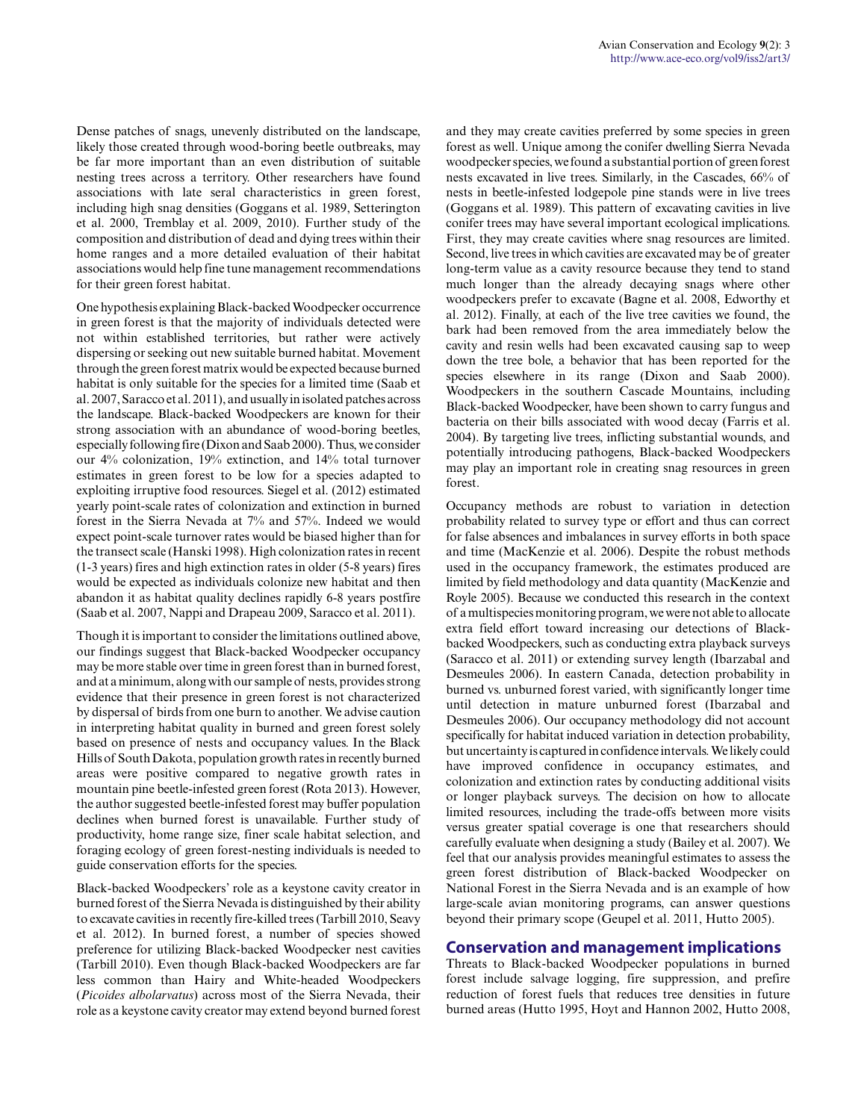Dense patches of snags, unevenly distributed on the landscape, likely those created through wood-boring beetle outbreaks, may be far more important than an even distribution of suitable nesting trees across a territory. Other researchers have found associations with late seral characteristics in green forest, including high snag densities (Goggans et al. 1989, Setterington et al. 2000, Tremblay et al. 2009, 2010). Further study of the composition and distribution of dead and dying trees within their home ranges and a more detailed evaluation of their habitat associations would help fine tune management recommendations for their green forest habitat.

One hypothesis explaining Black-backed Woodpecker occurrence in green forest is that the majority of individuals detected were not within established territories, but rather were actively dispersing or seeking out new suitable burned habitat. Movement through the green forest matrix would be expected because burned habitat is only suitable for the species for a limited time (Saab et al. 2007, Saracco et al. 2011), and usually in isolated patches across the landscape. Black-backed Woodpeckers are known for their strong association with an abundance of wood-boring beetles, especially following fire (Dixon and Saab 2000). Thus, we consider our 4% colonization, 19% extinction, and 14% total turnover estimates in green forest to be low for a species adapted to exploiting irruptive food resources. Siegel et al. (2012) estimated yearly point-scale rates of colonization and extinction in burned forest in the Sierra Nevada at 7% and 57%. Indeed we would expect point-scale turnover rates would be biased higher than for the transect scale (Hanski 1998). High colonization rates in recent (1-3 years) fires and high extinction rates in older (5-8 years) fires would be expected as individuals colonize new habitat and then abandon it as habitat quality declines rapidly 6-8 years postfire (Saab et al. 2007, Nappi and Drapeau 2009, Saracco et al. 2011).

Though it is important to consider the limitations outlined above, our findings suggest that Black-backed Woodpecker occupancy may be more stable over time in green forest than in burned forest, and at a minimum, along with our sample of nests, provides strong evidence that their presence in green forest is not characterized by dispersal of birds from one burn to another. We advise caution in interpreting habitat quality in burned and green forest solely based on presence of nests and occupancy values. In the Black Hills of South Dakota, population growth rates in recently burned areas were positive compared to negative growth rates in mountain pine beetle-infested green forest (Rota 2013). However, the author suggested beetle-infested forest may buffer population declines when burned forest is unavailable. Further study of productivity, home range size, finer scale habitat selection, and foraging ecology of green forest-nesting individuals is needed to guide conservation efforts for the species.

Black-backed Woodpeckers' role as a keystone cavity creator in burned forest of the Sierra Nevada is distinguished by their ability to excavate cavities in recently fire-killed trees (Tarbill 2010, Seavy et al. 2012). In burned forest, a number of species showed preference for utilizing Black-backed Woodpecker nest cavities (Tarbill 2010). Even though Black-backed Woodpeckers are far less common than Hairy and White-headed Woodpeckers (*Picoides albolarvatus*) across most of the Sierra Nevada, their role as a keystone cavity creator may extend beyond burned forest and they may create cavities preferred by some species in green forest as well. Unique among the conifer dwelling Sierra Nevada woodpecker species, we found a substantial portion of green forest nests excavated in live trees. Similarly, in the Cascades, 66% of nests in beetle-infested lodgepole pine stands were in live trees (Goggans et al. 1989). This pattern of excavating cavities in live conifer trees may have several important ecological implications. First, they may create cavities where snag resources are limited. Second, live trees in which cavities are excavated may be of greater long-term value as a cavity resource because they tend to stand much longer than the already decaying snags where other woodpeckers prefer to excavate (Bagne et al. 2008, Edworthy et al. 2012). Finally, at each of the live tree cavities we found, the bark had been removed from the area immediately below the cavity and resin wells had been excavated causing sap to weep down the tree bole, a behavior that has been reported for the species elsewhere in its range (Dixon and Saab 2000). Woodpeckers in the southern Cascade Mountains, including Black-backed Woodpecker, have been shown to carry fungus and bacteria on their bills associated with wood decay (Farris et al. 2004). By targeting live trees, inflicting substantial wounds, and potentially introducing pathogens, Black-backed Woodpeckers may play an important role in creating snag resources in green forest.

Occupancy methods are robust to variation in detection probability related to survey type or effort and thus can correct for false absences and imbalances in survey efforts in both space and time (MacKenzie et al. 2006). Despite the robust methods used in the occupancy framework, the estimates produced are limited by field methodology and data quantity (MacKenzie and Royle 2005). Because we conducted this research in the context of a multispecies monitoring program, we were not able to allocate extra field effort toward increasing our detections of Blackbacked Woodpeckers, such as conducting extra playback surveys (Saracco et al. 2011) or extending survey length (Ibarzabal and Desmeules 2006). In eastern Canada, detection probability in burned vs. unburned forest varied, with significantly longer time until detection in mature unburned forest (Ibarzabal and Desmeules 2006). Our occupancy methodology did not account specifically for habitat induced variation in detection probability, but uncertainty is captured in confidence intervals. We likely could have improved confidence in occupancy estimates, and colonization and extinction rates by conducting additional visits or longer playback surveys. The decision on how to allocate limited resources, including the trade-offs between more visits versus greater spatial coverage is one that researchers should carefully evaluate when designing a study (Bailey et al. 2007). We feel that our analysis provides meaningful estimates to assess the green forest distribution of Black-backed Woodpecker on National Forest in the Sierra Nevada and is an example of how large-scale avian monitoring programs, can answer questions beyond their primary scope (Geupel et al. 2011, Hutto 2005).

#### **Conservation and management implications**

Threats to Black-backed Woodpecker populations in burned forest include salvage logging, fire suppression, and prefire reduction of forest fuels that reduces tree densities in future burned areas (Hutto 1995, Hoyt and Hannon 2002, Hutto 2008,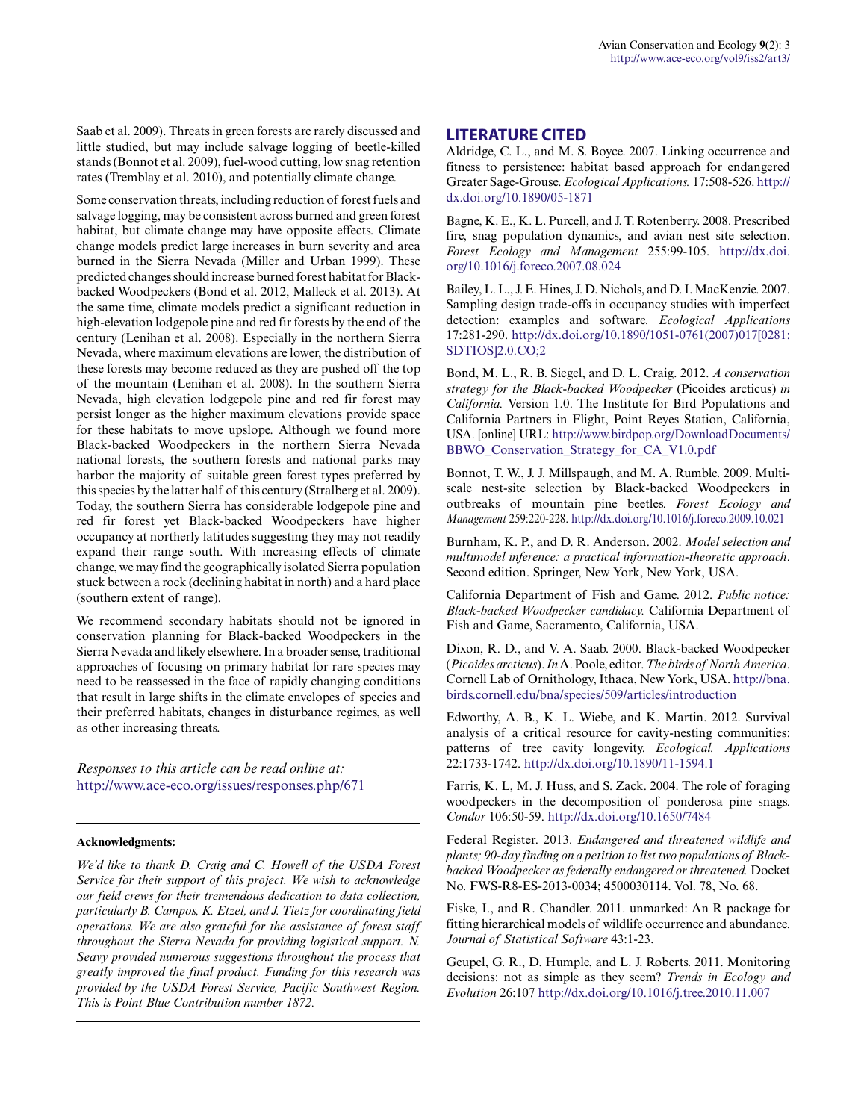Saab et al. 2009). Threats in green forests are rarely discussed and little studied, but may include salvage logging of beetle-killed stands (Bonnot et al. 2009), fuel-wood cutting, low snag retention rates (Tremblay et al. 2010), and potentially climate change.

Some conservation threats, including reduction of forest fuels and salvage logging, may be consistent across burned and green forest habitat, but climate change may have opposite effects. Climate change models predict large increases in burn severity and area burned in the Sierra Nevada (Miller and Urban 1999). These predicted changes should increase burned forest habitat for Blackbacked Woodpeckers (Bond et al. 2012, Malleck et al. 2013). At the same time, climate models predict a significant reduction in high-elevation lodgepole pine and red fir forests by the end of the century (Lenihan et al. 2008). Especially in the northern Sierra Nevada, where maximum elevations are lower, the distribution of these forests may become reduced as they are pushed off the top of the mountain (Lenihan et al. 2008). In the southern Sierra Nevada, high elevation lodgepole pine and red fir forest may persist longer as the higher maximum elevations provide space for these habitats to move upslope. Although we found more Black-backed Woodpeckers in the northern Sierra Nevada national forests, the southern forests and national parks may harbor the majority of suitable green forest types preferred by this species by the latter half of this century (Stralberg et al. 2009). Today, the southern Sierra has considerable lodgepole pine and red fir forest yet Black-backed Woodpeckers have higher occupancy at northerly latitudes suggesting they may not readily expand their range south. With increasing effects of climate change, we may find the geographically isolated Sierra population stuck between a rock (declining habitat in north) and a hard place (southern extent of range).

We recommend secondary habitats should not be ignored in conservation planning for Black-backed Woodpeckers in the Sierra Nevada and likely elsewhere. In a broader sense, traditional approaches of focusing on primary habitat for rare species may need to be reassessed in the face of rapidly changing conditions that result in large shifts in the climate envelopes of species and their preferred habitats, changes in disturbance regimes, as well as other increasing threats.

*Responses to this article can be read online at:* <http://www.ace-eco.org/issues/responses.php/671>

#### **Acknowledgments:**

*We'd like to thank D. Craig and C. Howell of the USDA Forest Service for their support of this project. We wish to acknowledge our field crews for their tremendous dedication to data collection, particularly B. Campos, K. Etzel, and J. Tietz for coordinating field operations. We are also grateful for the assistance of forest staff throughout the Sierra Nevada for providing logistical support. N. Seavy provided numerous suggestions throughout the process that greatly improved the final product. Funding for this research was provided by the USDA Forest Service, Pacific Southwest Region. This is Point Blue Contribution number 1872.*

### **LITERATURE CITED**

Aldridge, C. L., and M. S. Boyce. 2007. Linking occurrence and fitness to persistence: habitat based approach for endangered Greater Sage-Grouse. *Ecological Applications.* 17:508-526. [http://](http://dx.doi.org/10.1890%2F05-1871) [dx.doi.org/10.1890/05-1871](http://dx.doi.org/10.1890%2F05-1871) 

Bagne, K. E., K. L. Purcell, and J. T. Rotenberry. 2008. Prescribed fire, snag population dynamics, and avian nest site selection. *Forest Ecology and Management* 255:99-105. [http://dx.doi.](http://dx.doi.org/10.1016%2Fj.foreco.2007.08.024) [org/10.1016/j.foreco.2007.08.024](http://dx.doi.org/10.1016%2Fj.foreco.2007.08.024)

Bailey, L. L., J. E. Hines, J. D. Nichols, and D. I. MacKenzie. 2007. Sampling design trade-offs in occupancy studies with imperfect detection: examples and software. *Ecological Applications* 17:281-290. [http://dx.doi.org/10.1890/1051-0761\(2007\)017\[0281:](http://dx.doi.org/10.1890%2F1051-0761%282007%29017%5B0281%3ASDTIOS%5D2.0.CO%3B2) [SDTIOS\]2.0.CO;2](http://dx.doi.org/10.1890%2F1051-0761%282007%29017%5B0281%3ASDTIOS%5D2.0.CO%3B2)

Bond, M. L., R. B. Siegel, and D. L. Craig. 2012. *A conservation strategy for the Black-backed Woodpecker* (Picoides arcticus) *in California.* Version 1.0. The Institute for Bird Populations and California Partners in Flight, Point Reyes Station, California, USA. [online] URL: [http://www.birdpop.org/DownloadDocuments/](http://www.birdpop.org/DownloadDocuments/BBWO_Conservation_Strategy_for_CA_V1.0.pdf) [BBWO\\_Conservation\\_Strategy\\_for\\_CA\\_V1.0.pdf](http://www.birdpop.org/DownloadDocuments/BBWO_Conservation_Strategy_for_CA_V1.0.pdf)

Bonnot, T. W., J. J. Millspaugh, and M. A. Rumble. 2009. Multiscale nest-site selection by Black-backed Woodpeckers in outbreaks of mountain pine beetles. *Forest Ecology and Management* 259:220-228. [http://dx.doi.org/10.1016/j.foreco.2009.10.021](http://dx.doi.org/10.1016%2Fj.foreco.2009.10.021)

Burnham, K. P., and D. R. Anderson. 2002. *Model selection and multimodel inference: a practical information-theoretic approach*. Second edition. Springer, New York, New York, USA.

California Department of Fish and Game. 2012. *Public notice: Black-backed Woodpecker candidacy.* California Department of Fish and Game, Sacramento, California, USA.

Dixon, R. D., and V. A. Saab. 2000. Black-backed Woodpecker (*Picoides arcticus*). *In* A. Poole, editor. *The birds of North America*. Cornell Lab of Ornithology, Ithaca, New York, USA. [http://bna.](http://bna.birds.cornell.edu/bna/species/509/articles/introduction) [birds.cornell.edu/bna/species/509/articles/introduction](http://bna.birds.cornell.edu/bna/species/509/articles/introduction)

Edworthy, A. B., K. L. Wiebe, and K. Martin. 2012. Survival analysis of a critical resource for cavity-nesting communities: patterns of tree cavity longevity. *Ecological. Applications* 22:1733-1742. [http://dx.doi.org/10.1890/11-1594.1](http://dx.doi.org/10.1890%2F11-1594.1)

Farris, K. L, M. J. Huss, and S. Zack. 2004. The role of foraging woodpeckers in the decomposition of ponderosa pine snags. *Condor* 106:50-59. [http://dx.doi.org/10.1650/7484](http://dx.doi.org/10.1650%2F7484)

Federal Register. 2013. *Endangered and threatened wildlife and plants; 90-day finding on a petition to list two populations of Blackbacked Woodpecker as federally endangered or threatened.* Docket No. FWS-R8-ES-2013-0034; 4500030114. Vol. 78, No. 68.

Fiske, I., and R. Chandler. 2011. unmarked: An R package for fitting hierarchical models of wildlife occurrence and abundance. *Journal of Statistical Software* 43:1-23.

Geupel, G. R., D. Humple, and L. J. Roberts. 2011. Monitoring decisions: not as simple as they seem? *Trends in Ecology and Evolution* 26:107 [http://dx.doi.org/10.1016/j.tree.2010.11.007](http://dx.doi.org/10.1016%2Fj.tree.2010.11.007)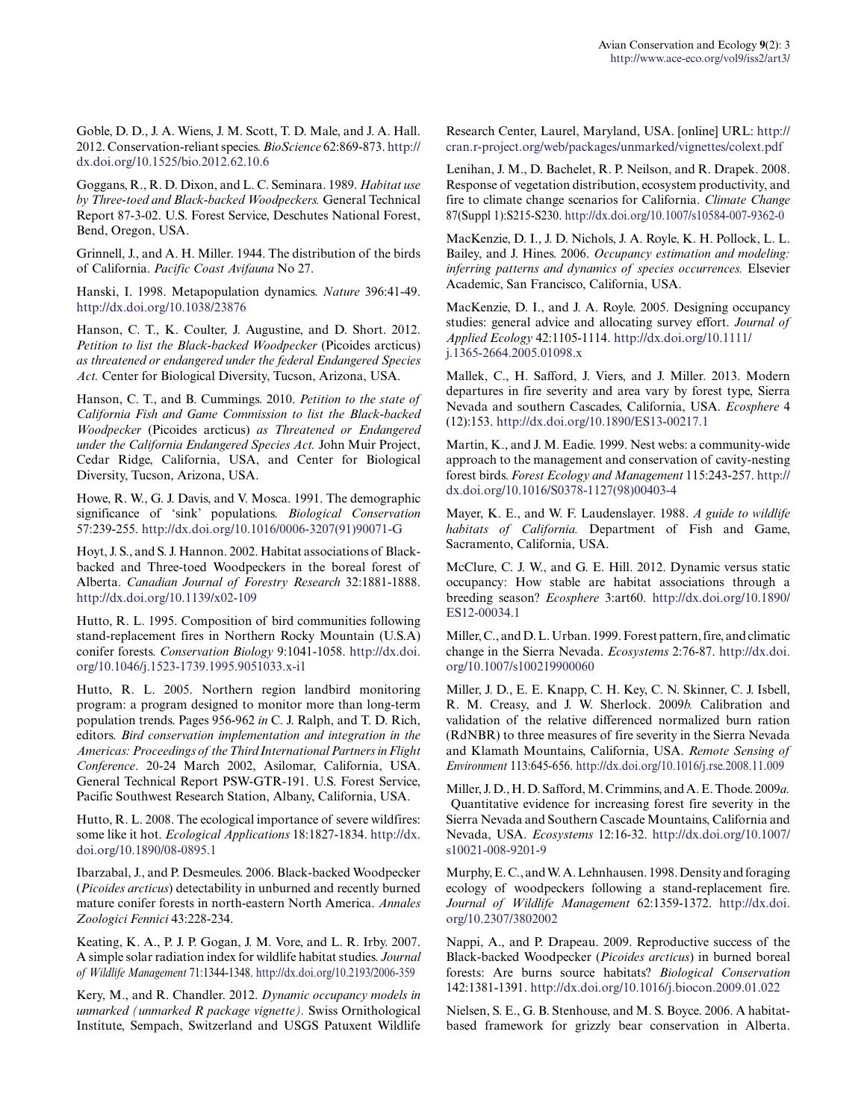Goble, D. D., J. A. Wiens, J. M. Scott, T. D. Male, and J. A. Hall. 2012. Conservation-reliant species. *BioScience* 62:869-873. [http://](http://dx.doi.org/10.1525%2Fbio.2012.62.10.6) [dx.doi.org/10.1525/bio.2012.62.10.6](http://dx.doi.org/10.1525%2Fbio.2012.62.10.6)

Goggans, R., R. D. Dixon, and L. C. Seminara. 1989. *Habitat use by Three-toed and Black-backed Woodpeckers.* General Technical Report 87-3-02. U.S. Forest Service, Deschutes National Forest, Bend, Oregon, USA.

Grinnell, J., and A. H. Miller. 1944. The distribution of the birds of California. *Pacific Coast Avifauna* No 27.

Hanski, I. 1998. Metapopulation dynamics. *Nature* 396:41-49. [http://dx.doi.org/10.1038/23876](http://dx.doi.org/10.1038%2F23876) 

Hanson, C. T., K. Coulter, J. Augustine, and D. Short. 2012. *Petition to list the Black-backed Woodpecker* (Picoides arcticus) *as threatened or endangered under the federal Endangered Species Act.* Center for Biological Diversity, Tucson, Arizona, USA.

Hanson, C. T., and B. Cummings. 2010. *Petition to the state of California Fish and Game Commission to list the Black-backed Woodpecker* (Picoides arcticus) *as Threatened or Endangered under the California Endangered Species Act.* John Muir Project, Cedar Ridge, California, USA, and Center for Biological Diversity, Tucson, Arizona, USA.

Howe, R. W., G. J. Davis, and V. Mosca. 1991. The demographic significance of 'sink' populations. *Biological Conservation* 57:239-255. [http://dx.doi.org/10.1016/0006-3207\(91\)90071-G](http://dx.doi.org/10.1016%2F0006-3207%2891%2990071-G)

Hoyt, J. S., and S. J. Hannon. 2002. Habitat associations of Blackbacked and Three-toed Woodpeckers in the boreal forest of Alberta. *Canadian Journal of Forestry Research* 32:1881-1888. [http://dx.doi.org/10.1139/x02-109](http://dx.doi.org/10.1139%2Fx02-109)

Hutto, R. L. 1995. Composition of bird communities following stand-replacement fires in Northern Rocky Mountain (U.S.A) conifer forests. *Conservation Biology* 9:1041-1058. [http://dx.doi.](http://dx.doi.org/10.1046%2Fj.1523-1739.1995.9051033.x-i1) [org/10.1046/j.1523-1739.1995.9051033.x-i1](http://dx.doi.org/10.1046%2Fj.1523-1739.1995.9051033.x-i1)

Hutto, R. L. 2005. Northern region landbird monitoring program: a program designed to monitor more than long-term population trends. Pages 956-962 *in* C. J. Ralph, and T. D. Rich, editors. *Bird conservation implementation and integration in the Americas: Proceedings of the Third International Partners in Flight Conference*. 20-24 March 2002, Asilomar, California, USA. General Technical Report PSW-GTR-191. U.S. Forest Service, Pacific Southwest Research Station, Albany, California, USA.

Hutto, R. L. 2008. The ecological importance of severe wildfires: some like it hot. *Ecological Applications* 18:1827-1834. [http://dx.](http://dx.doi.org/10.1890%2F08-0895.1) [doi.org/10.1890/08-0895.1](http://dx.doi.org/10.1890%2F08-0895.1) 

Ibarzabal, J., and P. Desmeules. 2006. Black-backed Woodpecker (*Picoides arcticus*) detectability in unburned and recently burned mature conifer forests in north-eastern North America. *Annales Zoologici Fennici* 43:228-234.

Keating, K. A., P. J. P. Gogan, J. M. Vore, and L. R. Irby. 2007. A simple solar radiation index for wildlife habitat studies. *Journal of Wildlife Management* 71:1344-1348. [http://dx.doi.org/10.2193/2006-359](http://dx.doi.org/10.2193%2F2006-359)

Kery, M., and R. Chandler. 2012. *Dynamic occupancy models in unmarked (unmarked R package vignette).* Swiss Ornithological Institute, Sempach, Switzerland and USGS Patuxent Wildlife Research Center, Laurel, Maryland, USA. [online] URL: [http://](http://cran.r-project.org/web/packages/unmarked/vignettes/colext.pdf) [cran.r-project.org/web/packages/unmarked/vignettes/colext.pdf](http://cran.r-project.org/web/packages/unmarked/vignettes/colext.pdf)

Lenihan, J. M., D. Bachelet, R. P. Neilson, and R. Drapek. 2008. Response of vegetation distribution, ecosystem productivity, and fire to climate change scenarios for California. *Climate Change* 87(Suppl 1):S215-S230. [http://dx.doi.org/10.1007/s10584-007-9362-0](http://dx.doi.org/10.1007%2Fs10584-007-9362-0) 

MacKenzie, D. I., J. D. Nichols, J. A. Royle, K. H. Pollock, L. L. Bailey, and J. Hines. 2006. *Occupancy estimation and modeling: inferring patterns and dynamics of species occurrences.* Elsevier Academic, San Francisco, California, USA.

MacKenzie, D. I., and J. A. Royle. 2005. Designing occupancy studies: general advice and allocating survey effort. *Journal of Applied Ecology* 42:1105-1114. [http://dx.doi.org/10.1111/](http://dx.doi.org/10.1111%2Fj.1365-2664.2005.01098.x) [j.1365-2664.2005.01098.x](http://dx.doi.org/10.1111%2Fj.1365-2664.2005.01098.x)

Mallek, C., H. Safford, J. Viers, and J. Miller. 2013. Modern departures in fire severity and area vary by forest type, Sierra Nevada and southern Cascades, California, USA. *Ecosphere* 4 (12):153. [http://dx.doi.org/10.1890/ES13-00217.1](http://dx.doi.org/10.1890%2FES13-00217.1)

Martin, K., and J. M. Eadie. 1999. Nest webs: a community-wide approach to the management and conservation of cavity-nesting forest birds. *Forest Ecology and Management* 115:243-257. [http://](http://dx.doi.org/10.1016%2FS0378-1127%2898%2900403-4) [dx.doi.org/10.1016/S0378-1127\(98\)00403-4](http://dx.doi.org/10.1016%2FS0378-1127%2898%2900403-4) 

Mayer, K. E., and W. F. Laudenslayer. 1988. *A guide to wildlife habitats of California.* Department of Fish and Game, Sacramento, California, USA.

McClure, C. J. W., and G. E. Hill. 2012. Dynamic versus static occupancy: How stable are habitat associations through a breeding season? *Ecosphere* 3:art60. [http://dx.doi.org/10.1890/](http://dx.doi.org/10.1890%2FES12-00034.1) [ES12-00034.1](http://dx.doi.org/10.1890%2FES12-00034.1)

Miller, C., and D. L. Urban. 1999. Forest pattern, fire, and climatic change in the Sierra Nevada. *Ecosystems* 2:76-87. [http://dx.doi.](http://dx.doi.org/10.1007%2Fs100219900060) [org/10.1007/s100219900060](http://dx.doi.org/10.1007%2Fs100219900060) 

Miller, J. D., E. E. Knapp, C. H. Key, C. N. Skinner, C. J. Isbell, R. M. Creasy, and J. W. Sherlock. 2009*b.* Calibration and validation of the relative differenced normalized burn ration (RdNBR) to three measures of fire severity in the Sierra Nevada and Klamath Mountains, California, USA. *Remote Sensing of Environment* 113:645-656. [http://dx.doi.org/10.1016/j.rse.2008.11.009](http://dx.doi.org/10.1016%2Fj.rse.2008.11.009) 

Miller, J. D., H. D. Safford, M. Crimmins, and A. E. Thode. 2009*a.* Quantitative evidence for increasing forest fire severity in the Sierra Nevada and Southern Cascade Mountains, California and Nevada, USA. *Ecosystems* 12:16-32. [http://dx.doi.org/10.1007/](http://dx.doi.org/10.1007%2Fs10021-008-9201-9) [s10021-008-9201-9](http://dx.doi.org/10.1007%2Fs10021-008-9201-9) 

Murphy, E. C., and W. A. Lehnhausen. 1998. Density and foraging ecology of woodpeckers following a stand-replacement fire. *Journal of Wildlife Management* 62:1359-1372. [http://dx.doi.](http://dx.doi.org/10.2307%2F3802002) [org/10.2307/3802002](http://dx.doi.org/10.2307%2F3802002) 

Nappi, A., and P. Drapeau. 2009. Reproductive success of the Black-backed Woodpecker (*Picoides arcticus*) in burned boreal forests: Are burns source habitats? *Biological Conservation* 142:1381-1391. [http://dx.doi.org/10.1016/j.biocon.2009.01.022](http://dx.doi.org/10.1016%2Fj.biocon.2009.01.022) 

Nielsen, S. E., G. B. Stenhouse, and M. S. Boyce. 2006. A habitatbased framework for grizzly bear conservation in Alberta.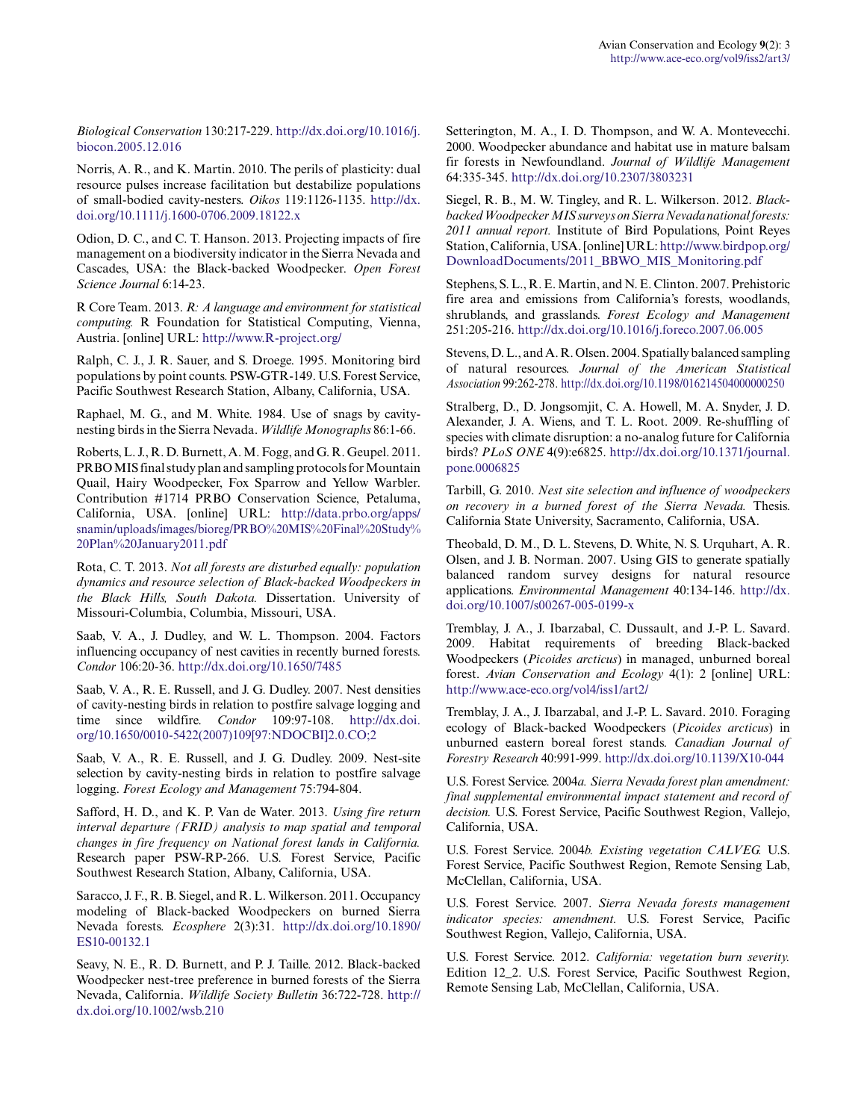*Biological Conservation* 130:217-229. [http://dx.doi.org/10.1016/j.](http://dx.doi.org/10.1016%2Fj.biocon.2005.12.016) [biocon.2005.12.016](http://dx.doi.org/10.1016%2Fj.biocon.2005.12.016)

Norris, A. R., and K. Martin. 2010. The perils of plasticity: dual resource pulses increase facilitation but destabilize populations of small-bodied cavity-nesters. *Oikos* 119:1126-1135. [http://dx.](http://dx.doi.org/10.1111%2Fj.1600-0706.2009.18122.x) [doi.org/10.1111/j.1600-0706.2009.18122.x](http://dx.doi.org/10.1111%2Fj.1600-0706.2009.18122.x)

Odion, D. C., and C. T. Hanson. 2013. Projecting impacts of fire management on a biodiversity indicator in the Sierra Nevada and Cascades, USA: the Black-backed Woodpecker. *Open Forest Science Journal* 6:14-23.

R Core Team. 2013. *R: A language and environment for statistical computing.* R Foundation for Statistical Computing, Vienna, Austria. [online] URL: <http://www.R-project.org/>

Ralph, C. J., J. R. Sauer, and S. Droege. 1995. Monitoring bird populations by point counts. PSW-GTR-149. U.S. Forest Service, Pacific Southwest Research Station, Albany, California, USA.

Raphael, M. G., and M. White. 1984. Use of snags by cavitynesting birds in the Sierra Nevada. *Wildlife Monographs* 86:1-66.

Roberts, L. J., R. D. Burnett, A. M. Fogg, and G. R. Geupel. 2011. PRBO MIS final study plan and sampling protocols for Mountain Quail, Hairy Woodpecker, Fox Sparrow and Yellow Warbler. Contribution #1714 PRBO Conservation Science, Petaluma, California, USA. [online] URL: [http://data.prbo.org/apps/](http://data.prbo.org/apps/snamin/uploads/images/bioreg/PRBO%20MIS%20Final%20Study%20Plan%20January2011.pdf) [snamin/uploads/images/bioreg/PRBO%20MIS%20Final%20Study%](http://data.prbo.org/apps/snamin/uploads/images/bioreg/PRBO%20MIS%20Final%20Study%20Plan%20January2011.pdf) [20Plan%20January2011.pdf](http://data.prbo.org/apps/snamin/uploads/images/bioreg/PRBO%20MIS%20Final%20Study%20Plan%20January2011.pdf)

Rota, C. T. 2013. *Not all forests are disturbed equally: population dynamics and resource selection of Black-backed Woodpeckers in the Black Hills, South Dakota.* Dissertation. University of Missouri-Columbia, Columbia, Missouri, USA.

Saab, V. A., J. Dudley, and W. L. Thompson. 2004. Factors influencing occupancy of nest cavities in recently burned forests. *Condor* 106:20-36. [http://dx.doi.org/10.1650/7485](http://dx.doi.org/10.1650%2F7485)

Saab, V. A., R. E. Russell, and J. G. Dudley. 2007. Nest densities of cavity-nesting birds in relation to postfire salvage logging and time since wildfire. *Condor* 109:97-108. [http://dx.doi.](http://dx.doi.org/10.1650%2F0010-5422%282007%29109%5B97%3ANDOCBI%5D2.0.CO%3B2) [org/10.1650/0010-5422\(2007\)109\[97:NDOCBI\]2.0.CO;2](http://dx.doi.org/10.1650%2F0010-5422%282007%29109%5B97%3ANDOCBI%5D2.0.CO%3B2) 

Saab, V. A., R. E. Russell, and J. G. Dudley. 2009. Nest-site selection by cavity-nesting birds in relation to postfire salvage logging. *Forest Ecology and Management* 75:794-804.

Safford, H. D., and K. P. Van de Water. 2013. *Using fire return interval departure (FRID) analysis to map spatial and temporal changes in fire frequency on National forest lands in California.* Research paper PSW-RP-266. U.S. Forest Service, Pacific Southwest Research Station, Albany, California, USA.

Saracco, J. F., R. B. Siegel, and R. L. Wilkerson. 2011. Occupancy modeling of Black-backed Woodpeckers on burned Sierra Nevada forests. *Ecosphere* 2(3):31. [http://dx.doi.org/10.1890/](http://dx.doi.org/10.1890%2FES10-00132.1) [ES10-00132.1](http://dx.doi.org/10.1890%2FES10-00132.1)

Seavy, N. E., R. D. Burnett, and P. J. Taille. 2012. Black-backed Woodpecker nest-tree preference in burned forests of the Sierra Nevada, California. *Wildlife Society Bulletin* 36:722-728. [http://](http://dx.doi.org/10.1002%2Fwsb.210) [dx.doi.org/10.1002/wsb.210](http://dx.doi.org/10.1002%2Fwsb.210)

Setterington, M. A., I. D. Thompson, and W. A. Montevecchi. 2000. Woodpecker abundance and habitat use in mature balsam fir forests in Newfoundland. *Journal of Wildlife Management* 64:335-345. [http://dx.doi.org/10.2307/3803231](http://dx.doi.org/10.2307%2F3803231) 

Siegel, R. B., M. W. Tingley, and R. L. Wilkerson. 2012. *Blackbacked Woodpecker MIS surveys on Sierra Nevada national forests: 2011 annual report.* Institute of Bird Populations, Point Reyes Station, California, USA. [online] URL: [http://www.birdpop.org/](http://www.birdpop.org/DownloadDocuments/2011_BBWO_MIS_Monitoring.pdf) [DownloadDocuments/2011\\_BBWO\\_MIS\\_Monitoring.pdf](http://www.birdpop.org/DownloadDocuments/2011_BBWO_MIS_Monitoring.pdf)

Stephens, S. L., R. E. Martin, and N. E. Clinton. 2007. Prehistoric fire area and emissions from California's forests, woodlands, shrublands, and grasslands. *Forest Ecology and Management* 251:205-216. [http://dx.doi.org/10.1016/j.foreco.2007.06.005](http://dx.doi.org/10.1016%2Fj.foreco.2007.06.005)

Stevens, D. L., and A. R. Olsen. 2004. Spatially balanced sampling of natural resources. *Journal of the American Statistical Association* 99:262-278. [http://dx.doi.org/10.1198/016214504000000250](http://dx.doi.org/10.1198%2F016214504000000250)

Stralberg, D., D. Jongsomjit, C. A. Howell, M. A. Snyder, J. D. Alexander, J. A. Wiens, and T. L. Root. 2009. Re-shuffling of species with climate disruption: a no-analog future for California birds? *PLoS ONE* 4(9):e6825. [http://dx.doi.org/10.1371/journal.](http://dx.doi.org/10.1371%2Fjournal.pone.0006825) [pone.0006825](http://dx.doi.org/10.1371%2Fjournal.pone.0006825)

Tarbill, G. 2010. *Nest site selection and influence of woodpeckers on recovery in a burned forest of the Sierra Nevada.* Thesis. California State University, Sacramento, California, USA.

Theobald, D. M., D. L. Stevens, D. White, N. S. Urquhart, A. R. Olsen, and J. B. Norman. 2007. Using GIS to generate spatially balanced random survey designs for natural resource applications. *Environmental Management* 40:134-146. [http://dx.](http://dx.doi.org/10.1007%2Fs00267-005-0199-x) [doi.org/10.1007/s00267-005-0199-x](http://dx.doi.org/10.1007%2Fs00267-005-0199-x) 

Tremblay, J. A., J. Ibarzabal, C. Dussault, and J.-P. L. Savard. 2009. Habitat requirements of breeding Black-backed Woodpeckers (*Picoides arcticus*) in managed, unburned boreal forest. *Avian Conservation and Ecology* 4(1): 2 [online] URL: <http://www.ace-eco.org/vol4/iss1/art2/>

Tremblay, J. A., J. Ibarzabal, and J.-P. L. Savard. 2010. Foraging ecology of Black-backed Woodpeckers (*Picoides arcticus*) in unburned eastern boreal forest stands. *Canadian Journal of Forestry Research* 40:991-999. [http://dx.doi.org/10.1139/X10-044](http://dx.doi.org/10.1139%2FX10-044) 

U.S. Forest Service. 2004*a. Sierra Nevada forest plan amendment: final supplemental environmental impact statement and record of decision.* U.S. Forest Service, Pacific Southwest Region, Vallejo, California, USA.

U.S. Forest Service. 2004*b. Existing vegetation CALVEG.* U.S. Forest Service, Pacific Southwest Region, Remote Sensing Lab, McClellan, California, USA.

U.S. Forest Service. 2007. *Sierra Nevada forests management indicator species: amendment.* U.S. Forest Service, Pacific Southwest Region, Vallejo, California, USA.

U.S. Forest Service. 2012. *California: vegetation burn severity.* Edition 12\_2. U.S. Forest Service, Pacific Southwest Region, Remote Sensing Lab, McClellan, California, USA.